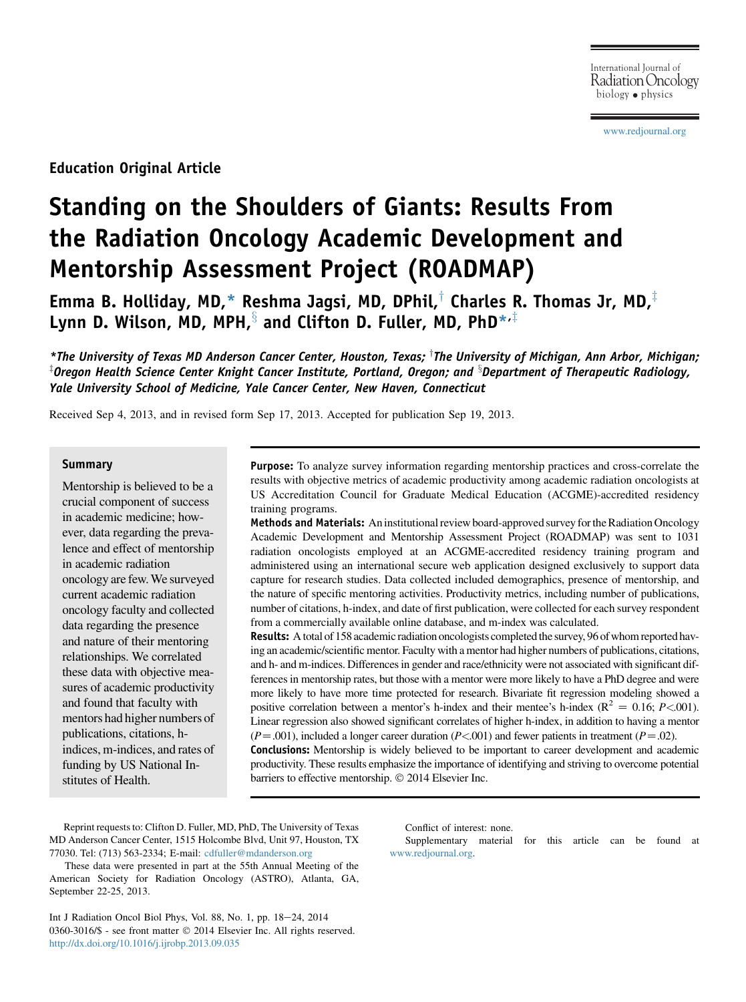[www.redjournal.org](http://www.redjournal.org)

Education Original Article

# Standing on the Shoulders of Giants: Results From the Radiation Oncology Academic Development and Mentorship Assessment Project (ROADMAP)

Emma B. Holliday, MD,\* Reshma Jagsi, MD, DPhil, $\dagger$  Charles R. Thomas Jr, MD, $\dagger$ Lynn D. Wilson, MD, MPH, and Clifton D. Fuller, MD, PhD $^{*,\ddag}$ 

\*The University of Texas MD Anderson Cancer Center, Houston, Texas; The University of Michigan, Ann Arbor, Michigan;  $^\text{\tiny{\text{T}}}$ Oregon Health Science Center Knight Cancer Institute, Portland, Oregon; and  $^\text{\tiny{\text{S}}}$ Department of Therapeutic Radiology, Yale University School of Medicine, Yale Cancer Center, New Haven, Connecticut

Received Sep 4, 2013, and in revised form Sep 17, 2013. Accepted for publication Sep 19, 2013.

### **Summary**

Mentorship is believed to be a crucial component of success in academic medicine; however, data regarding the prevalence and effect of mentorship in academic radiation oncology are few.We surveyed current academic radiation oncology faculty and collected data regarding the presence and nature of their mentoring relationships. We correlated these data with objective measures of academic productivity and found that faculty with mentors had higher numbers of publications, citations, hindices, m-indices, and rates of funding by US National Institutes of Health.

Purpose: To analyze survey information regarding mentorship practices and cross-correlate the results with objective metrics of academic productivity among academic radiation oncologists at US Accreditation Council for Graduate Medical Education (ACGME)-accredited residency training programs.

Methods and Materials: An institutional review board-approved survey for the Radiation Oncology Academic Development and Mentorship Assessment Project (ROADMAP) was sent to 1031 radiation oncologists employed at an ACGME-accredited residency training program and administered using an international secure web application designed exclusively to support data capture for research studies. Data collected included demographics, presence of mentorship, and the nature of specific mentoring activities. Productivity metrics, including number of publications, number of citations, h-index, and date of first publication, were collected for each survey respondent from a commercially available online database, and m-index was calculated.

Results: A total of 158 academic radiation oncologists completed the survey, 96 of whom reported having an academic/scientific mentor. Faculty with a mentor had higher numbers of publications, citations, and h- and m-indices. Differences in gender and race/ethnicity were not associated with significant differences in mentorship rates, but those with a mentor were more likely to have a PhD degree and were more likely to have more time protected for research. Bivariate fit regression modeling showed a positive correlation between a mentor's h-index and their mentee's h-index ( $\mathbb{R}^2 = 0.16$ ; P<.001). Linear regression also showed significant correlates of higher h-index, in addition to having a mentor  $(P=.001)$ , included a longer career duration  $(P<.001)$  and fewer patients in treatment  $(P=.02)$ .

Conclusions: Mentorship is widely believed to be important to career development and academic productivity. These results emphasize the importance of identifying and striving to overcome potential barriers to effective mentorship.  $\odot$  2014 Elsevier Inc.

Reprint requests to: Clifton D. Fuller, MD, PhD, The University of Texas MD Anderson Cancer Center, 1515 Holcombe Blvd, Unit 97, Houston, TX 77030. Tel: (713) 563-2334; E-mail: [cdfuller@mdanderson.org](mailto:cdfuller@mdanderson.org)

These data were presented in part at the 55th Annual Meeting of the American Society for Radiation Oncology (ASTRO), Atlanta, GA, September 22-25, 2013.

Int J Radiation Oncol Biol Phys, Vol. 88, No. 1, pp. 18-24, 2014 0360-3016/\$ - see front matter © 2014 Elsevier Inc. All rights reserved. <http://dx.doi.org/10.1016/j.ijrobp.2013.09.035>

Conflict of interest: none.

Supplementary material for this article can be found at [www.redjournal.org](http://www.redjournal.org).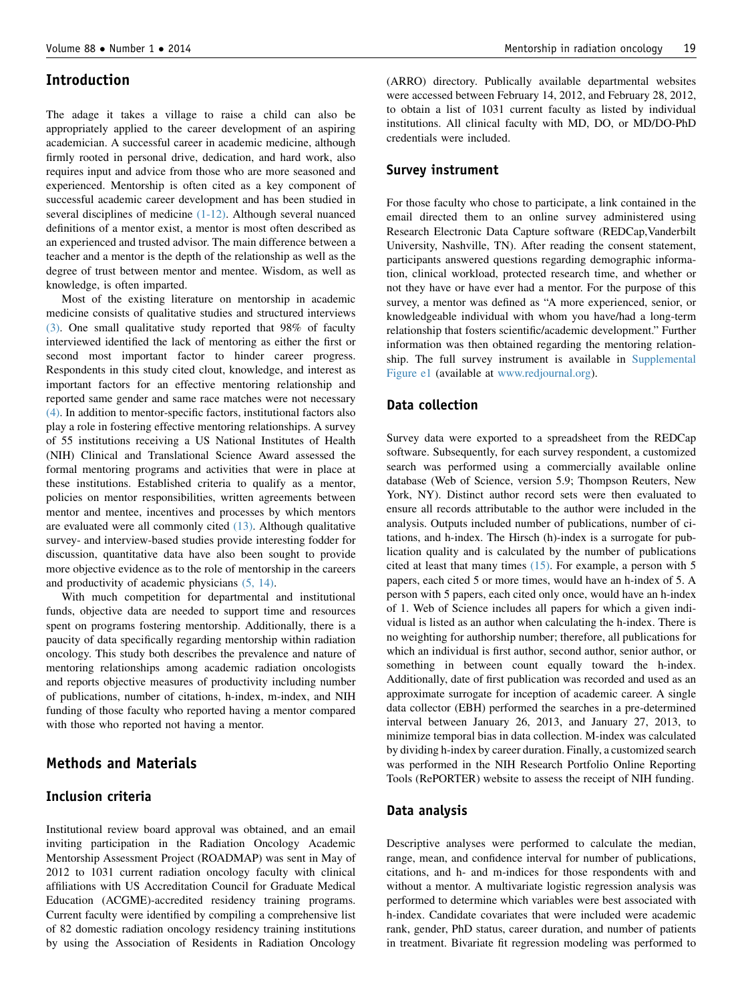## Introduction

The adage it takes a village to raise a child can also be appropriately applied to the career development of an aspiring academician. A successful career in academic medicine, although firmly rooted in personal drive, dedication, and hard work, also requires input and advice from those who are more seasoned and experienced. Mentorship is often cited as a key component of successful academic career development and has been studied in several disciplines of medicine [\(1-12\)](#page-5-0). Although several nuanced definitions of a mentor exist, a mentor is most often described as an experienced and trusted advisor. The main difference between a teacher and a mentor is the depth of the relationship as well as the degree of trust between mentor and mentee. Wisdom, as well as knowledge, is often imparted.

Most of the existing literature on mentorship in academic medicine consists of qualitative studies and structured interviews [\(3\)](#page-5-0). One small qualitative study reported that 98% of faculty interviewed identified the lack of mentoring as either the first or second most important factor to hinder career progress. Respondents in this study cited clout, knowledge, and interest as important factors for an effective mentoring relationship and reported same gender and same race matches were not necessary [\(4\)](#page-5-0). In addition to mentor-specific factors, institutional factors also play a role in fostering effective mentoring relationships. A survey of 55 institutions receiving a US National Institutes of Health (NIH) Clinical and Translational Science Award assessed the formal mentoring programs and activities that were in place at these institutions. Established criteria to qualify as a mentor, policies on mentor responsibilities, written agreements between mentor and mentee, incentives and processes by which mentors are evaluated were all commonly cited [\(13\)](#page-6-0). Although qualitative survey- and interview-based studies provide interesting fodder for discussion, quantitative data have also been sought to provide more objective evidence as to the role of mentorship in the careers and productivity of academic physicians [\(5, 14\).](#page-5-0)

With much competition for departmental and institutional funds, objective data are needed to support time and resources spent on programs fostering mentorship. Additionally, there is a paucity of data specifically regarding mentorship within radiation oncology. This study both describes the prevalence and nature of mentoring relationships among academic radiation oncologists and reports objective measures of productivity including number of publications, number of citations, h-index, m-index, and NIH funding of those faculty who reported having a mentor compared with those who reported not having a mentor.

## Methods and Materials

## Inclusion criteria

Institutional review board approval was obtained, and an email inviting participation in the Radiation Oncology Academic Mentorship Assessment Project (ROADMAP) was sent in May of 2012 to 1031 current radiation oncology faculty with clinical affiliations with US Accreditation Council for Graduate Medical Education (ACGME)-accredited residency training programs. Current faculty were identified by compiling a comprehensive list of 82 domestic radiation oncology residency training institutions by using the Association of Residents in Radiation Oncology (ARRO) directory. Publically available departmental websites were accessed between February 14, 2012, and February 28, 2012, to obtain a list of 1031 current faculty as listed by individual institutions. All clinical faculty with MD, DO, or MD/DO-PhD credentials were included.

#### Survey instrument

For those faculty who chose to participate, a link contained in the email directed them to an online survey administered using Research Electronic Data Capture software (REDCap,Vanderbilt University, Nashville, TN). After reading the consent statement, participants answered questions regarding demographic information, clinical workload, protected research time, and whether or not they have or have ever had a mentor. For the purpose of this survey, a mentor was defined as "A more experienced, senior, or knowledgeable individual with whom you have/had a long-term relationship that fosters scientific/academic development." Further information was then obtained regarding the mentoring relationship. The full survey instrument is available in Supplemental Figure e1 (available at [www.redjournal.org\)](http://www.redjournal.org).

#### Data collection

Survey data were exported to a spreadsheet from the REDCap software. Subsequently, for each survey respondent, a customized search was performed using a commercially available online database (Web of Science, version 5.9; Thompson Reuters, New York, NY). Distinct author record sets were then evaluated to ensure all records attributable to the author were included in the analysis. Outputs included number of publications, number of citations, and h-index. The Hirsch (h)-index is a surrogate for publication quality and is calculated by the number of publications cited at least that many times [\(15\).](#page-6-0) For example, a person with 5 papers, each cited 5 or more times, would have an h-index of 5. A person with 5 papers, each cited only once, would have an h-index of 1. Web of Science includes all papers for which a given individual is listed as an author when calculating the h-index. There is no weighting for authorship number; therefore, all publications for which an individual is first author, second author, senior author, or something in between count equally toward the h-index. Additionally, date of first publication was recorded and used as an approximate surrogate for inception of academic career. A single data collector (EBH) performed the searches in a pre-determined interval between January 26, 2013, and January 27, 2013, to minimize temporal bias in data collection. M-index was calculated by dividing h-index by career duration. Finally, a customized search was performed in the NIH Research Portfolio Online Reporting Tools (RePORTER) website to assess the receipt of NIH funding.

#### Data analysis

Descriptive analyses were performed to calculate the median, range, mean, and confidence interval for number of publications, citations, and h- and m-indices for those respondents with and without a mentor. A multivariate logistic regression analysis was performed to determine which variables were best associated with h-index. Candidate covariates that were included were academic rank, gender, PhD status, career duration, and number of patients in treatment. Bivariate fit regression modeling was performed to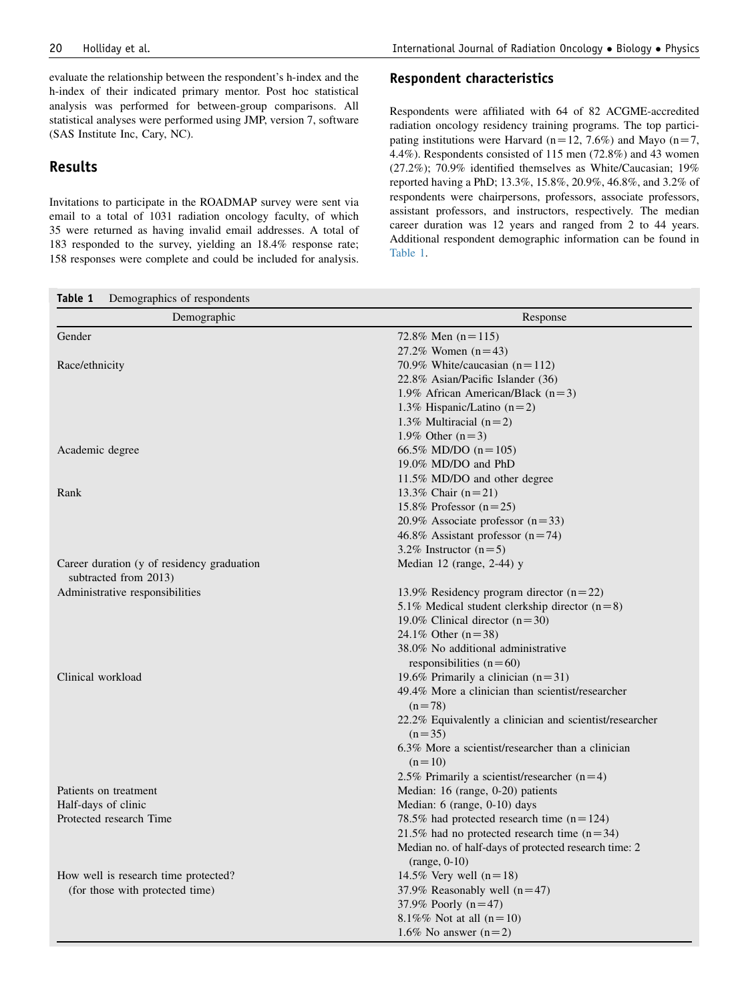evaluate the relationship between the respondent's h-index and the h-index of their indicated primary mentor. Post hoc statistical analysis was performed for between-group comparisons. All statistical analyses were performed using JMP, version 7, software (SAS Institute Inc, Cary, NC).

# Results

Invitations to participate in the ROADMAP survey were sent via email to a total of 1031 radiation oncology faculty, of which 35 were returned as having invalid email addresses. A total of 183 responded to the survey, yielding an 18.4% response rate; 158 responses were complete and could be included for analysis.

#### Respondent characteristics

Respondents were affiliated with 64 of 82 ACGME-accredited radiation oncology residency training programs. The top participating institutions were Harvard ( $n=12, 7.6\%$ ) and Mayo ( $n=7$ , 4.4%). Respondents consisted of 115 men (72.8%) and 43 women (27.2%); 70.9% identified themselves as White/Caucasian; 19% reported having a PhD; 13.3%, 15.8%, 20.9%, 46.8%, and 3.2% of respondents were chairpersons, professors, associate professors, assistant professors, and instructors, respectively. The median career duration was 12 years and ranged from 2 to 44 years. Additional respondent demographic information can be found in Table 1.

| Demographic                                | Response                                                |  |  |  |  |
|--------------------------------------------|---------------------------------------------------------|--|--|--|--|
| Gender                                     | 72.8% Men $(n=115)$                                     |  |  |  |  |
|                                            | 27.2% Women $(n=43)$                                    |  |  |  |  |
| Race/ethnicity                             | 70.9% White/caucasian $(n=112)$                         |  |  |  |  |
|                                            | 22.8% Asian/Pacific Islander (36)                       |  |  |  |  |
|                                            | 1.9% African American/Black $(n=3)$                     |  |  |  |  |
|                                            | 1.3% Hispanic/Latino $(n=2)$                            |  |  |  |  |
|                                            | 1.3% Multiracial $(n=2)$                                |  |  |  |  |
|                                            | 1.9% Other $(n=3)$                                      |  |  |  |  |
| Academic degree                            | 66.5% MD/DO $(n=105)$                                   |  |  |  |  |
|                                            | 19.0% MD/DO and PhD                                     |  |  |  |  |
|                                            | 11.5% MD/DO and other degree                            |  |  |  |  |
| Rank                                       | 13.3% Chair $(n=21)$                                    |  |  |  |  |
|                                            | 15.8% Professor $(n=25)$                                |  |  |  |  |
|                                            | 20.9% Associate professor $(n=33)$                      |  |  |  |  |
|                                            | 46.8% Assistant professor $(n=74)$                      |  |  |  |  |
|                                            | 3.2% Instructor $(n=5)$                                 |  |  |  |  |
| Career duration (y of residency graduation | Median $12$ (range, 2-44) y                             |  |  |  |  |
| subtracted from 2013)                      |                                                         |  |  |  |  |
| Administrative responsibilities            | 13.9% Residency program director $(n=22)$               |  |  |  |  |
|                                            | 5.1% Medical student clerkship director $(n=8)$         |  |  |  |  |
|                                            | 19.0% Clinical director $(n=30)$                        |  |  |  |  |
|                                            | 24.1% Other $(n=38)$                                    |  |  |  |  |
|                                            | 38.0% No additional administrative                      |  |  |  |  |
|                                            | responsibilities $(n=60)$                               |  |  |  |  |
| Clinical workload                          | 19.6% Primarily a clinician $(n=31)$                    |  |  |  |  |
|                                            | 49.4% More a clinician than scientist/researcher        |  |  |  |  |
|                                            | $(n=78)$                                                |  |  |  |  |
|                                            | 22.2% Equivalently a clinician and scientist/researcher |  |  |  |  |
|                                            | $(n=35)$                                                |  |  |  |  |
|                                            | 6.3% More a scientist/researcher than a clinician       |  |  |  |  |
|                                            | $(n=10)$                                                |  |  |  |  |
|                                            | 2.5% Primarily a scientist/researcher $(n=4)$           |  |  |  |  |
| Patients on treatment                      | Median: 16 (range, 0-20) patients                       |  |  |  |  |
| Half-days of clinic                        | Median: 6 (range, 0-10) days                            |  |  |  |  |
| Protected research Time                    | 78.5% had protected research time $(n=124)$             |  |  |  |  |
|                                            | 21.5% had no protected research time $(n=34)$           |  |  |  |  |
|                                            | Median no. of half-days of protected research time: 2   |  |  |  |  |
|                                            | $(range, 0-10)$                                         |  |  |  |  |
| How well is research time protected?       | 14.5% Very well $(n=18)$                                |  |  |  |  |
| (for those with protected time)            | 37.9% Reasonably well $(n=47)$                          |  |  |  |  |
|                                            | 37.9% Poorly $(n=47)$                                   |  |  |  |  |
|                                            | 8.1%% Not at all $(n=10)$                               |  |  |  |  |
|                                            | 1.6% No answer $(n=2)$                                  |  |  |  |  |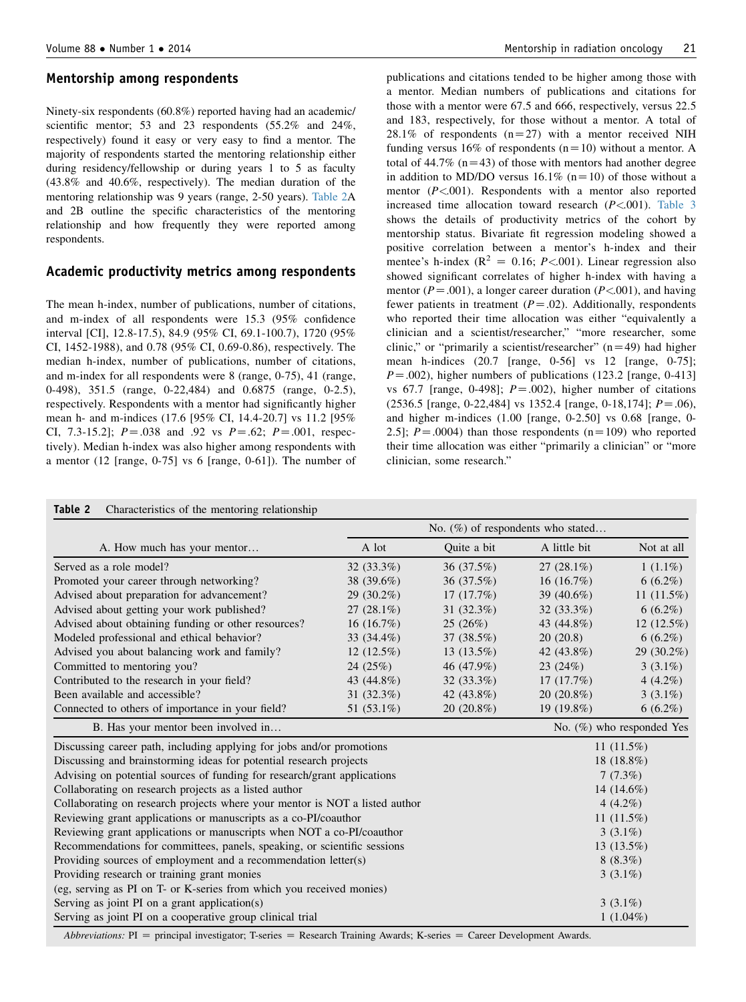#### Mentorship among respondents

Ninety-six respondents (60.8%) reported having had an academic/ scientific mentor; 53 and 23 respondents (55.2% and 24%, respectively) found it easy or very easy to find a mentor. The majority of respondents started the mentoring relationship either during residency/fellowship or during years 1 to 5 as faculty (43.8% and 40.6%, respectively). The median duration of the mentoring relationship was 9 years (range, 2-50 years). Table 2A and 2B outline the specific characteristics of the mentoring relationship and how frequently they were reported among respondents.

#### Academic productivity metrics among respondents

The mean h-index, number of publications, number of citations, and m-index of all respondents were 15.3 (95% confidence interval [CI], 12.8-17.5), 84.9 (95% CI, 69.1-100.7), 1720 (95% CI, 1452-1988), and 0.78 (95% CI, 0.69-0.86), respectively. The median h-index, number of publications, number of citations, and m-index for all respondents were 8 (range, 0-75), 41 (range, 0-498), 351.5 (range, 0-22,484) and 0.6875 (range, 0-2.5), respectively. Respondents with a mentor had significantly higher mean h- and m-indices (17.6 [95% CI, 14.4-20.7] vs 11.2 [95% CI, 7.3-15.2];  $P = .038$  and .92 vs  $P = .62$ ;  $P = .001$ , respectively). Median h-index was also higher among respondents with a mentor (12 [range, 0-75] vs 6 [range, 0-61]). The number of publications and citations tended to be higher among those with a mentor. Median numbers of publications and citations for those with a mentor were 67.5 and 666, respectively, versus 22.5 and 183, respectively, for those without a mentor. A total of 28.1% of respondents  $(n=27)$  with a mentor received NIH funding versus 16% of respondents ( $n=10$ ) without a mentor. A total of  $44.7\%$  (n=43) of those with mentors had another degree in addition to MD/DO versus  $16.1\%$  (n=10) of those without a mentor  $(P<.001)$ . Respondents with a mentor also reported increased time allocation toward research  $(P<.001)$ . [Table 3](#page-4-0) shows the details of productivity metrics of the cohort by mentorship status. Bivariate fit regression modeling showed a positive correlation between a mentor's h-index and their mentee's h-index ( $R^2 = 0.16$ ; P<001). Linear regression also showed significant correlates of higher h-index with having a mentor ( $P = .001$ ), a longer career duration ( $P < .001$ ), and having fewer patients in treatment  $(P=.02)$ . Additionally, respondents who reported their time allocation was either "equivalently a clinician and a scientist/researcher," "more researcher, some clinic," or "primarily a scientist/researcher"  $(n=49)$  had higher mean h-indices (20.7 [range, 0-56] vs 12 [range, 0-75];  $P = .002$ ), higher numbers of publications (123.2 [range, 0-413] vs 67.7 [range, 0-498];  $P = .002$ ), higher number of citations  $(2536.5$  [range, 0-22,484] vs 1352.4 [range, 0-18,174];  $P = .06$ ), and higher m-indices (1.00 [range, 0-2.50] vs 0.68 [range, 0- 2.5];  $P = .0004$ ) than those respondents (n=109) who reported their time allocation was either "primarily a clinician" or "more clinician, some research."

|                                                                             |                              |              | No. $(\%)$ of respondents who stated |               |
|-----------------------------------------------------------------------------|------------------------------|--------------|--------------------------------------|---------------|
| A. How much has your mentor                                                 | A lot                        | Quite a bit  | A little bit                         | Not at all    |
| Served as a role model?                                                     | $32(33.3\%)$                 | 36 (37.5%)   | $27(28.1\%)$                         | $1(1.1\%)$    |
| Promoted your career through networking?                                    | 38 (39.6%)                   | 36 (37.5%)   | 16 $(16.7%)$                         | $6(6.2\%)$    |
| Advised about preparation for advancement?                                  | $29(30.2\%)$                 | 17(17.7%)    | 39 (40.6%)                           | 11 $(11.5\%)$ |
| Advised about getting your work published?                                  | $27(28.1\%)$                 | $31(32.3\%)$ | $32(33.3\%)$                         | $6(6.2\%)$    |
| Advised about obtaining funding or other resources?                         | 16(16.7%)                    | 25(26%)      | 43 (44.8%)                           | $12(12.5\%)$  |
| Modeled professional and ethical behavior?                                  | 33 (34.4%)                   | 37 (38.5%)   | 20(20.8)                             | $6(6.2\%)$    |
| Advised you about balancing work and family?                                | $12(12.5\%)$                 | $13(13.5\%)$ | 42 (43.8%)                           | 29 (30.2%)    |
| Committed to mentoring you?                                                 | 24(25%)                      | 46 (47.9%)   | 23(24%)                              | $3(3.1\%)$    |
| Contributed to the research in your field?                                  | 43 (44.8%)                   | $32(33.3\%)$ | 17(17.7%)                            | 4 $(4.2\%)$   |
| Been available and accessible?                                              | 31 $(32.3\%)$                | 42 (43.8%)   | $20(20.8\%)$                         | $3(3.1\%)$    |
| Connected to others of importance in your field?                            | 51 (53.1%)                   | $20(20.8\%)$ | 19 (19.8%)                           | $6(6.2\%)$    |
| B. Has your mentor been involved in                                         | No. $(\%)$ who responded Yes |              |                                      |               |
| Discussing career path, including applying for jobs and/or promotions       | 11 $(11.5%)$                 |              |                                      |               |
| Discussing and brainstorming ideas for potential research projects          | 18 (18.8%)                   |              |                                      |               |
| Advising on potential sources of funding for research/grant applications    | 7(7.3%)                      |              |                                      |               |
| Collaborating on research projects as a listed author                       | 14 $(14.6\%)$                |              |                                      |               |
| Collaborating on research projects where your mentor is NOT a listed author | 4 $(4.2\%)$                  |              |                                      |               |
| Reviewing grant applications or manuscripts as a co-PI/coauthor             | 11 $(11.5%)$                 |              |                                      |               |
| Reviewing grant applications or manuscripts when NOT a co-PI/coauthor       | $3(3.1\%)$                   |              |                                      |               |
| Recommendations for committees, panels, speaking, or scientific sessions    | $13(13.5\%)$                 |              |                                      |               |
| Providing sources of employment and a recommendation letter(s)              | $8(8.3\%)$                   |              |                                      |               |
| Providing research or training grant monies                                 | $3(3.1\%)$                   |              |                                      |               |
| (eg, serving as PI on T- or K-series from which you received monies)        |                              |              |                                      |               |
| Serving as joint PI on a grant application(s)                               | $3(3.1\%)$                   |              |                                      |               |
| Serving as joint PI on a cooperative group clinical trial                   |                              | $1(1.04\%)$  |                                      |               |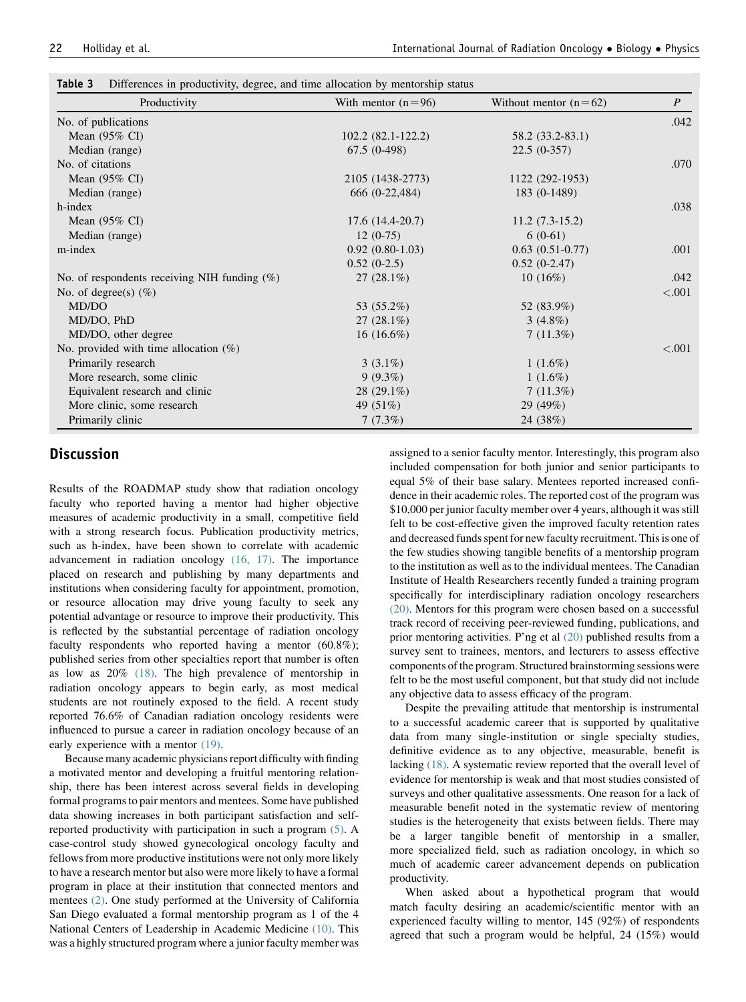| Productivity                                    | With mentor $(n=96)$ | Without mentor $(n=62)$ | $\boldsymbol{P}$ |  |
|-------------------------------------------------|----------------------|-------------------------|------------------|--|
| No. of publications                             |                      |                         | .042             |  |
| Mean $(95\% \text{ CI})$                        | 102.2 (82.1-122.2)   | 58.2 (33.2-83.1)        |                  |  |
| Median (range)                                  | $67.5(0-498)$        | $22.5(0-357)$           |                  |  |
| No. of citations                                |                      |                         | .070             |  |
| Mean $(95\% \text{ CI})$                        | 2105 (1438-2773)     | 1122 (292-1953)         |                  |  |
| Median (range)                                  | 666 (0-22,484)       | 183 (0-1489)            |                  |  |
| h-index                                         |                      |                         | .038             |  |
| Mean $(95\% \text{ CI})$                        | $17.6(14.4-20.7)$    | $11.2(7.3-15.2)$        |                  |  |
| Median (range)                                  | $12(0-75)$           | $6(0-61)$               |                  |  |
| m-index                                         | $0.92(0.80-1.03)$    | $0.63(0.51-0.77)$       | .001             |  |
|                                                 | $0.52(0-2.5)$        | $0.52(0-2.47)$          |                  |  |
| No. of respondents receiving NIH funding $(\%)$ | $27(28.1\%)$         | 10(16%)                 | .042             |  |
| No. of degree(s) $(\%)$                         |                      |                         | ${<}.001$        |  |
| MD/DO                                           | 53 (55.2%)           | 52 (83.9%)              |                  |  |
| MD/DO, PhD                                      | $27(28.1\%)$         | $3(4.8\%)$              |                  |  |
| MD/DO, other degree                             | $16(16.6\%)$         | $7(11.3\%)$             |                  |  |
| No. provided with time allocation $(\%)$        |                      |                         | ${<}.001$        |  |
| Primarily research                              | $3(3.1\%)$           | $1(1.6\%)$              |                  |  |
| More research, some clinic                      | $9(9.3\%)$           | $1(1.6\%)$              |                  |  |
| Equivalent research and clinic                  | $28(29.1\%)$         | $7(11.3\%)$             |                  |  |
| More clinic, some research                      | 49 (51%)             | 29 $(49%)$              |                  |  |
| Primarily clinic                                | 7(7.3%)              | 24 (38%)                |                  |  |

<span id="page-4-0"></span>

| Table 3<br>Differences in productivity, degree, and time allocation by mentorship status |  |  |  |  |  |  |  |  |  |
|------------------------------------------------------------------------------------------|--|--|--|--|--|--|--|--|--|
|------------------------------------------------------------------------------------------|--|--|--|--|--|--|--|--|--|

## **Discussion**

Results of the ROADMAP study show that radiation oncology faculty who reported having a mentor had higher objective measures of academic productivity in a small, competitive field with a strong research focus. Publication productivity metrics, such as h-index, have been shown to correlate with academic advancement in radiation oncology [\(16, 17\)](#page-6-0). The importance placed on research and publishing by many departments and institutions when considering faculty for appointment, promotion, or resource allocation may drive young faculty to seek any potential advantage or resource to improve their productivity. This is reflected by the substantial percentage of radiation oncology faculty respondents who reported having a mentor (60.8%); published series from other specialties report that number is often as low as 20% [\(18\)](#page-6-0). The high prevalence of mentorship in radiation oncology appears to begin early, as most medical students are not routinely exposed to the field. A recent study reported 76.6% of Canadian radiation oncology residents were influenced to pursue a career in radiation oncology because of an early experience with a mentor [\(19\)](#page-6-0).

Because many academic physicians report difficulty with finding a motivated mentor and developing a fruitful mentoring relationship, there has been interest across several fields in developing formal programs to pair mentors and mentees. Some have published data showing increases in both participant satisfaction and selfreported productivity with participation in such a program [\(5\).](#page-5-0) A case-control study showed gynecological oncology faculty and fellows from more productive institutions were not only more likely to have a research mentor but also were more likely to have a formal program in place at their institution that connected mentors and mentees [\(2\)](#page-5-0). One study performed at the University of California San Diego evaluated a formal mentorship program as 1 of the 4 National Centers of Leadership in Academic Medicine [\(10\)](#page-6-0). This was a highly structured program where a junior faculty member was

assigned to a senior faculty mentor. Interestingly, this program also included compensation for both junior and senior participants to equal 5% of their base salary. Mentees reported increased confidence in their academic roles. The reported cost of the program was \$10,000 per junior faculty member over 4 years, although it was still felt to be cost-effective given the improved faculty retention rates and decreased funds spent for new faculty recruitment. This is one of the few studies showing tangible benefits of a mentorship program to the institution as well as to the individual mentees. The Canadian Institute of Health Researchers recently funded a training program specifically for interdisciplinary radiation oncology researchers [\(20\)](#page-6-0). Mentors for this program were chosen based on a successful track record of receiving peer-reviewed funding, publications, and prior mentoring activities. P'ng et al [\(20\)](#page-6-0) published results from a survey sent to trainees, mentors, and lecturers to assess effective components of the program. Structured brainstorming sessions were felt to be the most useful component, but that study did not include any objective data to assess efficacy of the program.

Despite the prevailing attitude that mentorship is instrumental to a successful academic career that is supported by qualitative data from many single-institution or single specialty studies, definitive evidence as to any objective, measurable, benefit is lacking [\(18\).](#page-6-0) A systematic review reported that the overall level of evidence for mentorship is weak and that most studies consisted of surveys and other qualitative assessments. One reason for a lack of measurable benefit noted in the systematic review of mentoring studies is the heterogeneity that exists between fields. There may be a larger tangible benefit of mentorship in a smaller, more specialized field, such as radiation oncology, in which so much of academic career advancement depends on publication productivity.

When asked about a hypothetical program that would match faculty desiring an academic/scientific mentor with an experienced faculty willing to mentor, 145 (92%) of respondents agreed that such a program would be helpful, 24 (15%) would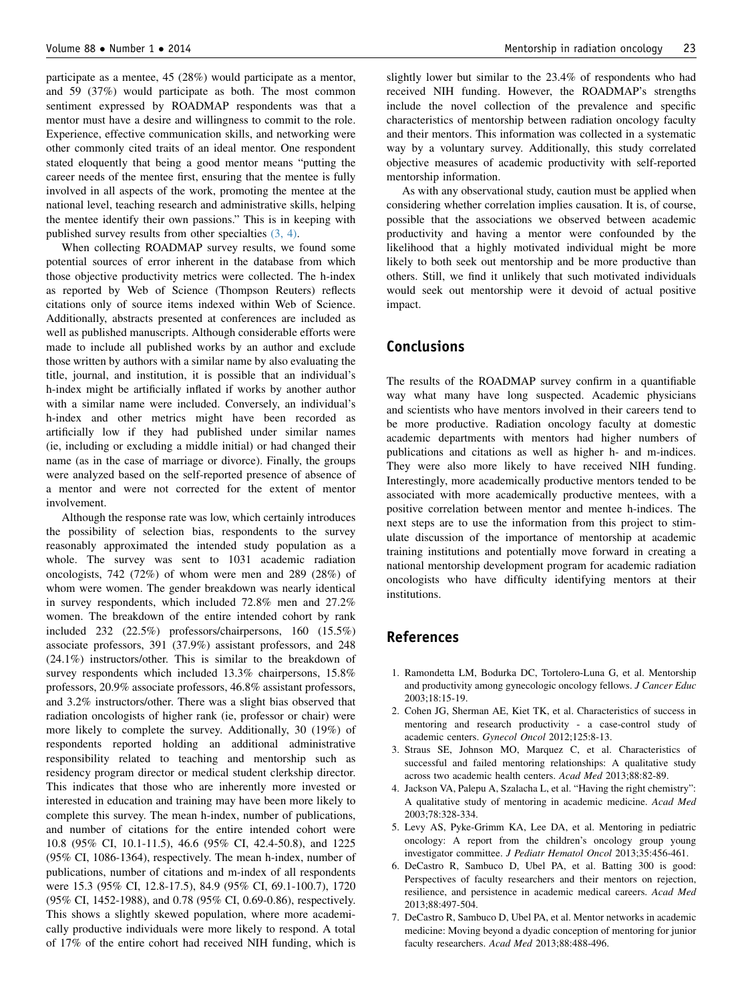<span id="page-5-0"></span>participate as a mentee, 45 (28%) would participate as a mentor, and 59 (37%) would participate as both. The most common sentiment expressed by ROADMAP respondents was that a mentor must have a desire and willingness to commit to the role. Experience, effective communication skills, and networking were other commonly cited traits of an ideal mentor. One respondent stated eloquently that being a good mentor means "putting the career needs of the mentee first, ensuring that the mentee is fully involved in all aspects of the work, promoting the mentee at the national level, teaching research and administrative skills, helping the mentee identify their own passions." This is in keeping with published survey results from other specialties (3, 4).

When collecting ROADMAP survey results, we found some potential sources of error inherent in the database from which those objective productivity metrics were collected. The h-index as reported by Web of Science (Thompson Reuters) reflects citations only of source items indexed within Web of Science. Additionally, abstracts presented at conferences are included as well as published manuscripts. Although considerable efforts were made to include all published works by an author and exclude those written by authors with a similar name by also evaluating the title, journal, and institution, it is possible that an individual's h-index might be artificially inflated if works by another author with a similar name were included. Conversely, an individual's h-index and other metrics might have been recorded as artificially low if they had published under similar names (ie, including or excluding a middle initial) or had changed their name (as in the case of marriage or divorce). Finally, the groups were analyzed based on the self-reported presence of absence of a mentor and were not corrected for the extent of mentor involvement.

Although the response rate was low, which certainly introduces the possibility of selection bias, respondents to the survey reasonably approximated the intended study population as a whole. The survey was sent to 1031 academic radiation oncologists, 742 (72%) of whom were men and 289 (28%) of whom were women. The gender breakdown was nearly identical in survey respondents, which included 72.8% men and 27.2% women. The breakdown of the entire intended cohort by rank included 232 (22.5%) professors/chairpersons, 160 (15.5%) associate professors, 391 (37.9%) assistant professors, and 248 (24.1%) instructors/other. This is similar to the breakdown of survey respondents which included 13.3% chairpersons, 15.8% professors, 20.9% associate professors, 46.8% assistant professors, and 3.2% instructors/other. There was a slight bias observed that radiation oncologists of higher rank (ie, professor or chair) were more likely to complete the survey. Additionally, 30 (19%) of respondents reported holding an additional administrative responsibility related to teaching and mentorship such as residency program director or medical student clerkship director. This indicates that those who are inherently more invested or interested in education and training may have been more likely to complete this survey. The mean h-index, number of publications, and number of citations for the entire intended cohort were 10.8 (95% CI, 10.1-11.5), 46.6 (95% CI, 42.4-50.8), and 1225 (95% CI, 1086-1364), respectively. The mean h-index, number of publications, number of citations and m-index of all respondents were 15.3 (95% CI, 12.8-17.5), 84.9 (95% CI, 69.1-100.7), 1720 (95% CI, 1452-1988), and 0.78 (95% CI, 0.69-0.86), respectively. This shows a slightly skewed population, where more academically productive individuals were more likely to respond. A total of 17% of the entire cohort had received NIH funding, which is slightly lower but similar to the 23.4% of respondents who had received NIH funding. However, the ROADMAP's strengths include the novel collection of the prevalence and specific characteristics of mentorship between radiation oncology faculty and their mentors. This information was collected in a systematic way by a voluntary survey. Additionally, this study correlated objective measures of academic productivity with self-reported mentorship information.

As with any observational study, caution must be applied when considering whether correlation implies causation. It is, of course, possible that the associations we observed between academic productivity and having a mentor were confounded by the likelihood that a highly motivated individual might be more likely to both seek out mentorship and be more productive than others. Still, we find it unlikely that such motivated individuals would seek out mentorship were it devoid of actual positive impact.

## Conclusions

The results of the ROADMAP survey confirm in a quantifiable way what many have long suspected. Academic physicians and scientists who have mentors involved in their careers tend to be more productive. Radiation oncology faculty at domestic academic departments with mentors had higher numbers of publications and citations as well as higher h- and m-indices. They were also more likely to have received NIH funding. Interestingly, more academically productive mentors tended to be associated with more academically productive mentees, with a positive correlation between mentor and mentee h-indices. The next steps are to use the information from this project to stimulate discussion of the importance of mentorship at academic training institutions and potentially move forward in creating a national mentorship development program for academic radiation oncologists who have difficulty identifying mentors at their institutions.

# References

- 1. Ramondetta LM, Bodurka DC, Tortolero-Luna G, et al. Mentorship and productivity among gynecologic oncology fellows. J Cancer Educ 2003;18:15-19.
- 2. Cohen JG, Sherman AE, Kiet TK, et al. Characteristics of success in mentoring and research productivity - a case-control study of academic centers. Gynecol Oncol 2012;125:8-13.
- 3. Straus SE, Johnson MO, Marquez C, et al. Characteristics of successful and failed mentoring relationships: A qualitative study across two academic health centers. Acad Med 2013;88:82-89.
- 4. Jackson VA, Palepu A, Szalacha L, et al. "Having the right chemistry": A qualitative study of mentoring in academic medicine. Acad Med 2003;78:328-334.
- 5. Levy AS, Pyke-Grimm KA, Lee DA, et al. Mentoring in pediatric oncology: A report from the children's oncology group young investigator committee. J Pediatr Hematol Oncol 2013;35:456-461.
- 6. DeCastro R, Sambuco D, Ubel PA, et al. Batting 300 is good: Perspectives of faculty researchers and their mentors on rejection, resilience, and persistence in academic medical careers. Acad Med 2013;88:497-504.
- 7. DeCastro R, Sambuco D, Ubel PA, et al. Mentor networks in academic medicine: Moving beyond a dyadic conception of mentoring for junior faculty researchers. Acad Med 2013;88:488-496.